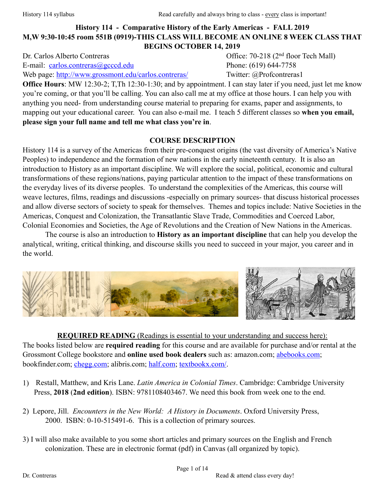# **History 114 - Comparative History of the Early Americas - FALL 2019 M,W 9:30-10:45 room 551B (0919)-THIS CLASS WILL BECOME AN ONLINE 8 WEEK CLASS THAT BEGINS OCTOBER 14, 2019**

E-mail: [carlos.contreras@gcccd.edu](mailto:carlos.contreras@gcccd.edu) Phone: (619) 644-7758 Web page: <http://www.grossmont.edu/carlos.contreras/> Twitter: @Profcontreras1

Dr. Carlos Alberto Contreras Office: 70-218 (2<sup>nd</sup> floor Tech Mall)

**Office Hours**: MW 12:30-2; T,Th 12:30-1:30; and by appointment. I can stay later if you need, just let me know you're coming, or that you'll be calling. You can also call me at my office at those hours. I can help you with anything you need- from understanding course material to preparing for exams, paper and assignments, to mapping out your educational career. You can also e-mail me. I teach 5 different classes so **when you email, please sign your full name and tell me what class you're in**.

#### **COURSE DESCRIPTION**

History 114 is a survey of the Americas from their pre-conquest origins (the vast diversity of America's Native Peoples) to independence and the formation of new nations in the early nineteenth century. It is also an introduction to History as an important discipline. We will explore the social, political, economic and cultural transformations of these regions/nations, paying particular attention to the impact of these transformations on the everyday lives of its diverse peoples. To understand the complexities of the Americas, this course will weave lectures, films, readings and discussions -especially on primary sources- that discuss historical processes and allow diverse sectors of society to speak for themselves. Themes and topics include: Native Societies in the Americas, Conquest and Colonization, the Transatlantic Slave Trade, Commodities and Coerced Labor, Colonial Economies and Societies, the Age of Revolutions and the Creation of New Nations in the Americas.

 The course is also an introduction to **History as an important discipline** that can help you develop the analytical, writing, critical thinking, and discourse skills you need to succeed in your major, you career and in the world.



**REQUIRED READING** (Readings is essential to your understanding and success here): The books listed below are **required reading** for this course and are available for purchase and/or rental at the Grossmont College bookstore and **online used book dealers** such as: amazon.com; [abebooks.com;](http://www.abebooks.com) bookfinder.com; [chegg.com](http://www.chegg.com/textbooks/); alibris.com; [half.com;](http://www.half.ebay.com) [textbookx.com/](http://www.textbookx.com/).

- 1) Restall, Matthew, and Kris Lane. *Latin America in Colonial Times*. Cambridge: Cambridge University Press, **2018** (**2nd edition**). ISBN: 9781108403467. We need this book from week one to the end.
- 2) Lepore, Jill. *Encounters in the New World: A History in Documents*. Oxford University Press, 2000. ISBN: 0-10-515491-6. This is a collection of primary sources.
- 3) I will also make available to you some short articles and primary sources on the English and French colonization. These are in electronic format (pdf) in Canvas (all organized by topic).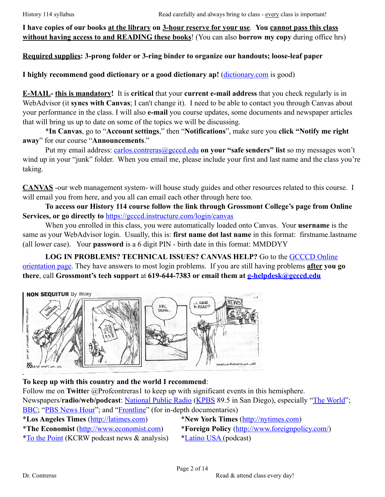**I have copies of our books at the library on 3-hour reserve for your use**. **You cannot pass this class without having access to and READING these books**! (You can also **borrow my copy** during office hrs)

**Required supplies: 3-prong folder or 3-ring binder to organize our handouts; loose-leaf paper** 

**I highly recommend good dictionary or a good dictionary ap!** ([dictionary.com](http://dictionary.com) is good)

**E-MAIL- this is mandatory!** It is **critical** that your **current e-mail address** that you check regularly is in WebAdvisor (it **syncs with Canvas**; I can't change it). I need to be able to contact you through Canvas about your performance in the class. I will also **e-mail** you course updates, some documents and newspaper articles that will bring us up to date on some of the topics we will be discussing.

 \***In Canvas**, go to "**Account settings**," then "**Notifications**", make sure you **click "Notify me right away**" for our course "**Announcements**."

Put my email address: [carlos.contreras@gcccd.edu](mailto:carlos.contreras@gcccd.edu) **on your "safe senders" list** so my messages won't wind up in your "junk" folder. When you email me, please include your first and last name and the class you're taking.

**CANVAS** -our web management system- will house study guides and other resources related to this course. I will email you from here, and you all can email each other through here too.

**To access our History 114 course follow the link through Grossmont College's page from Online Services, or go directly to** <https://gcccd.instructure.com/login/canvas>

When you enrolled in this class, you were automatically loaded onto Canvas. Your **username** is the same as your WebAdvisor login. Usually, this is: **first name dot last name** in this format: firstname.lastname (all lower case). Your **password** is a 6 digit PIN - birth date in this format: MMDDYY

**LOG IN PROBLEMS? TECHNICAL ISSUES? CANVAS HELP?** Go to the GCCCD Online [orientation page. They have answers to most login problems. If you are still having problems](http://www.gcccd.edu/online/student/default.html) **after you go there**, call **Grossmont's tech support** at **619-644-7383 or email them at [g-helpdesk@gcccd.edu](mailto:g-helpdesk@gcccd.edu)**



# **To keep up with this country and the world I recommend**:

Follow me on **Twitte**r @Profcontreras1 to keep up with significant events in this hemisphere. Newspapers/**radio/web/podcast**: [National Public Radio](http://www.npr.org) ([KPBS](http://www.kpbs.org) 89.5 in San Diego), especially "[The World](http://www.npr.org/podcasts/381444246/pri-s-the-world)"; [BBC](http://www.bbc.com); "[PBS News Hour](http://www.pbs.org/newshour/)"; and ["Frontline](http://www.pbs.org/wgbh/frontline/)" (for in-depth documentaries)

\***Los Angeles Times** ([http://latimes.com\)](http://latimes.com) \***New York Times** [\(http://nytimes.com\)](http://nytimes.com)

\***The Economist** ([http://www.economist.com\)](http://www.economist.com) \***Foreign Policy** [\(http://www.foreignpolicy.com/\)](http://www.foreignpolicy.com/)

\*[To the Point](https://www.kcrw.com/news/shows/to-the-point) (KCRW podcast news & analysis) \*[Latino USA \(](https://www.latinousa.org)podcast)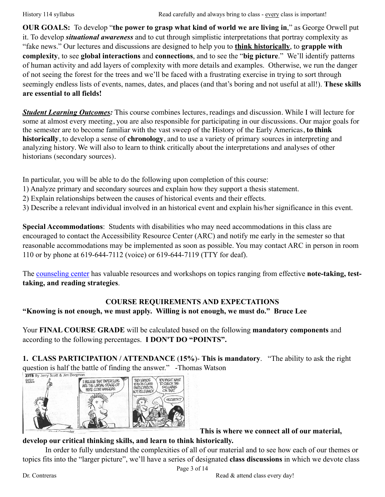**OUR GOALS:** To develop "**the power to grasp what kind of world we are living in**," as George Orwell put it. To develop *situational awareness* and to cut through simplistic interpretations that portray complexity as "fake news." Our lectures and discussions are designed to help you to **think historically**, to **grapple with complexity**, to see **global interactions** and **connections**, and to see the "**big picture**." We'll identify patterns of human activity and add layers of complexity with more details and examples. Otherwise, we run the danger of not seeing the forest for the trees and we'll be faced with a frustrating exercise in trying to sort through seemingly endless lists of events, names, dates, and places (and that's boring and not useful at all!). **These skills are essential to all fields!**

*Student Learning Outcomes:* This course combines lectures, readings and discussion. While I will lecture for some at almost every meeting, you are also responsible for participating in our discussions. Our major goals for the semester are to become familiar with the vast sweep of the History of the Early Americas, **to think historically**, to develop a sense of **chronology**, and to use a variety of primary sources in interpreting and analyzing history. We will also to learn to think critically about the interpretations and analyses of other historians (secondary sources).

In particular, you will be able to do the following upon completion of this course:

- 1) Analyze primary and secondary sources and explain how they support a thesis statement.
- 2) Explain relationships between the causes of historical events and their effects.
- 3) Describe a relevant individual involved in an historical event and explain his/her significance in this event.

**Special Accommodations**: Students with disabilities who may need accommodations in this class are encouraged to contact the Accessibility Resource Center (ARC) and notify me early in the semester so that reasonable accommodations may be implemented as soon as possible. You may contact ARC in person in room 110 or by phone at 619-644-7112 (voice) or 619-644-7119 (TTY for deaf).

The [counseling center](https://www.grossmont.edu/student-services/offices-and-services/counseling/default.aspx) has valuable resources and workshops on topics ranging from effective **note-taking, testtaking, and reading strategies**.

# **COURSE REQUIREMENTS AND EXPECTATIONS "Knowing is not enough, we must apply. Willing is not enough, we must do." Bruce Lee**

Your **FINAL COURSE GRADE** will be calculated based on the following **mandatory components** and according to the following percentages. **I DON'T DO "POINTS".** 

**1. CLASS PARTICIPATION / ATTENDANCE** (**15%**)- **This is mandatory**. "The ability to ask the right question is half the battle of finding the answer." -Thomas Watson  $\frac{1}{2}$ 



**This is where we connect all of our material,** 

# **develop our critical thinking skills, and learn to think historically.**

In order to fully understand the complexities of all of our material and to see how each of our themes or topics fits into the "larger picture", we'll have a series of designated **class discussions** in which we devote class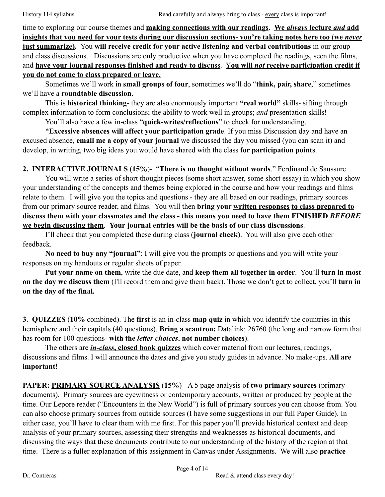time to exploring our course themes and **making connections with our readings**. **We** *always* **lecture** *and* **add insights that you need for your tests during our discussion sections- you're taking notes here too (we** *never* **just summarize).** You **will receive credit for your active listening and verbal contributions** in our group and class discussions. Discussions are only productive when you have completed the readings, seen the films, and **have your journal responses finished and ready to discuss**. Y**ou will** *not* **receive participation credit if you do not come to class prepared or leave.**

Sometimes we'll work in **small groups of four**, sometimes we'll do "**think, pair, share**," sometimes we'll have a **roundtable discussion**.

This is **historical thinking-** they are also enormously important **"real world"** skills- sifting through complex information to form conclusions; the ability to work well in groups; *and* presentation skills!

You'll also have a few in-class "**quick-writes/reflections**" to check for understanding.

\***Excessive absences will affect your participation grade**. If you miss Discussion day and have an excused absence, **email me a copy of your journal** we discussed the day you missed (you can scan it) and develop, in writing, two big ideas you would have shared with the class **for participation points**.

**2. INTERACTIVE JOURNALS** (**15%**)- "**There is no thought without words**." Ferdinand de Saussure You will write a series of short thought pieces (some short answer, some short essay) in which you show your understanding of the concepts and themes being explored in the course and how your readings and films relate to them. I will give you the topics and questions - they are all based on our readings, primary sources from our primary source reader, and films. You will then **bring your written responses to class prepared to discuss them with your classmates and the class - this means you need to have them FINISHED** *BEFORE* **we begin discussing them**. **Your journal entries will be the basis of our class discussions**.

 I'll check that you completed these during class (**journal check)**. You will also give each other feedback.

**No need to buy any "journal"**: I will give you the prompts or questions and you will write your responses on my handouts or regular sheets of paper.

**Put your name on them**, write the due date, and **keep them all together in order**. You'll **turn in most on the day we discuss them** (I'll record them and give them back). Those we don't get to collect, you'll **turn in on the day of the final.** 

**3**. **QUIZZES** (**10%** combined). The **first** is an in-class **map quiz** in which you identify the countries in this hemisphere and their capitals (40 questions). **Bring a scantron:** Datalink: 26760 (the long and narrow form that has room for 100 questions- **with the** *letter choices*, **not number choices**).

 The others are *in-class***, closed book quizzes** which cover material from our lectures, readings, discussions and films. I will announce the dates and give you study guides in advance. No make-ups. **All are important!** 

**PAPER: PRIMARY SOURCE ANALYSIS** (**15%**)- A 5 page analysis of **two primary sources** (primary documents). Primary sources are eyewitness or contemporary accounts, written or produced by people at the time. Our Lepore reader ("Encounters in the New World") is full of primary sources you can choose from. You can also choose primary sources from outside sources (I have some suggestions in our full Paper Guide). In either case, you'll have to clear them with me first. For this paper you'll provide historical context and deep analysis of your primary sources, assessing their strengths and weaknesses as historical documents, and discussing the ways that these documents contribute to our understanding of the history of the region at that time. There is a fuller explanation of this assignment in Canvas under Assignments. We will also **practice**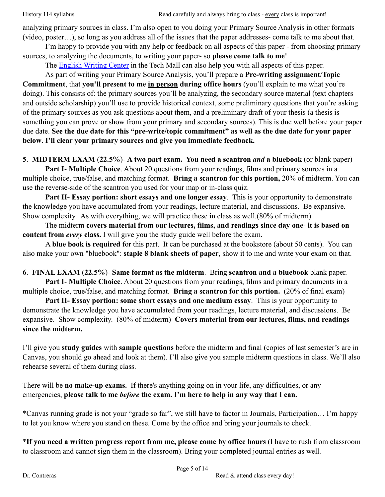analyzing primary sources in class. I'm also open to you doing your Primary Source Analysis in other formats (video, poster…), so long as you address all of the issues that the paper addresses- come talk to me about that.

 I'm happy to provide you with any help or feedback on all aspects of this paper - from choosing primary sources, to analyzing the documents, to writing your paper- so **please come talk to me**!

The **English Writing Center** in the Tech Mall can also help you with all aspects of this paper.

 As part of writing your Primary Source Analysis, you'll prepare a **Pre-writing assignment**/**Topic Commitment**, that **you'll present to me in person during office hours** (you'll explain to me what you're doing). This consists of: the primary sources you'll be analyzing, the secondary source material (text chapters and outside scholarship) you'll use to provide historical context, some preliminary questions that you're asking of the primary sources as you ask questions about them, and a preliminary draft of your thesis (a thesis is something you can prove or show from your primary and secondary sources). This is due well before your paper due date. **See the due date for this "pre-write/topic commitment" as well as the due date for your paper below**. **I'll clear your primary sources and give you immediate feedback.**

**5**. **MIDTERM EXAM** (**22.5%**)- **A two part exam. You need a scantron** *and* **a bluebook** (or blank paper)

 **Part I**- **Multiple Choice**. About 20 questions from your readings, films and primary sources in a multiple choice, true/false, and matching format. **Bring a scantron for this portion,** 20% of midterm. You can use the reverse-side of the scantron you used for your map or in-class quiz.

**Part II- Essay portion: short essays and one longer essay**. This is your opportunity to demonstrate the knowledge you have accumulated from your readings, lecture material, and discussions. Be expansive. Show complexity. As with everything, we will practice these in class as well.(80% of midterm)

 The midterm **covers material from our lectures, films, and readings since day one**- **it is based on content from** *every* **class.** I will give you the study guide well before the exam.

 A **blue book is required** for this part. It can be purchased at the bookstore (about 50 cents). You can also make your own "bluebook": **staple 8 blank sheets of paper**, show it to me and write your exam on that.

**6**. **FINAL EXAM** (**22.5%**)- **Same format as the midterm**. Bring **scantron and a bluebook** blank paper.

 **Part I**- **Multiple Choice**. About 20 questions from your readings, films and primary documents in a multiple choice, true/false, and matching format. **Bring a scantron for this portion.** (20% of final exam)

**Part II- Essay portion: some short essays and one medium essay**. This is your opportunity to demonstrate the knowledge you have accumulated from your readings, lecture material, and discussions. Be expansive. Show complexity. (80% of midterm) **Covers material from our lectures, films, and readings since the midterm.**

I'll give you **study guides** with **sample questions** before the midterm and final (copies of last semester's are in Canvas, you should go ahead and look at them). I'll also give you sample midterm questions in class. We'll also rehearse several of them during class.

There will be **no make-up exams.** If there's anything going on in your life, any difficulties, or any emergencies, **please talk to me** *before* **the exam. I'm here to help in any way that I can.**

\*Canvas running grade is not your "grade so far", we still have to factor in Journals, Participation… I'm happy to let you know where you stand on these. Come by the office and bring your journals to check.

\***If you need a written progress report from me, please come by office hours** (I have to rush from classroom to classroom and cannot sign them in the classroom). Bring your completed journal entries as well.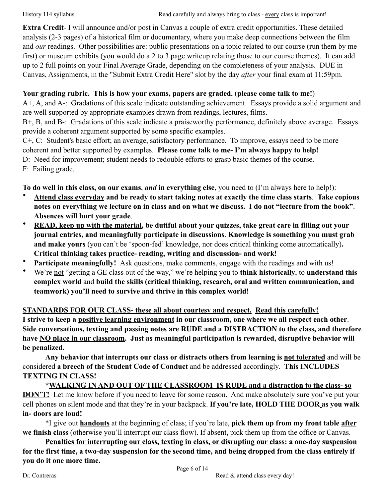**Extra Credit**- I will announce and/or post in Canvas a couple of extra credit opportunities. These detailed analysis (2-3 pages) of a historical film or documentary, where you make deep connections between the film and *our* readings. Other possibilities are: public presentations on a topic related to our course (run them by me first) or museum exhibits (you would do a 2 to 3 page writeup relating those to our course themes). It can add up to 2 full points on your Final Average Grade, depending on the completeness of your analysis. DUE in Canvas, Assignments, in the "Submit Extra Credit Here" slot by the day *after* your final exam at 11:59pm.

# **Your grading rubric. This is how your exams, papers are graded.** (**please come talk to me!**)

A+, A, and A-: Gradations of this scale indicate outstanding achievement. Essays provide a solid argument and are well supported by appropriate examples drawn from readings, lectures, films.

B+, B, and B-: Gradations of this scale indicate a praiseworthy performance, definitely above average. Essays provide a coherent argument supported by some specific examples.

C+, C: Student's basic effort; an average, satisfactory performance. To improve, essays need to be more

coherent and better supported by examples. **Please come talk to me- I'm always happy to help!**

D: Need for improvement; student needs to redouble efforts to grasp basic themes of the course.

F: Failing grade.

**To do well in this class, on our exams**, *and* **in everything else**, you need to (I'm always here to help!):

- **Attend class everyday and be ready to start taking notes at exactly the time class starts**. **Take copious notes on everything we lecture on in class and on what we discuss. I do not "lecture from the book"**. **Absences will hurt your grade**.
- **READ, keep up with the material, be dutiful about your quizzes, take great care in filling out your journal entries, and meaningfully participate in discussions**. **Knowledge is something you must grab and make yours** (you can't be 'spoon-fed' knowledge, nor does critical thinking come automatically)**. Critical thinking takes practice- reading, writing and discussion- and work!**
- **Participate meaningfully!** Ask questions, make comments, engage with the readings and with us!
- We're not "getting a GE class out of the way," we're helping you to **think historically**, to **understand this complex world** and **build the skills (critical thinking, research, oral and written communication, and teamwork) you'll need to survive and thrive in this complex world!**

**STANDARDS FOR OUR CLASS- these all about courtesy and respect. Read this carefully! I strive to keep a positive learning environment in our classroom, one where we all respect each other**. **Side conversations, texting and passing notes are RUDE and a DISTRACTION to the class, and therefore have NO place in our classroom. Just as meaningful participation is rewarded, disruptive behavior will be penalized.** 

**Any behavior that interrupts our class or distracts others from learning is not tolerated** and will be considered **a breech of the Student Code of Conduct** and be addressed accordingly. **This INCLUDES TEXTING IN CLASS!**

 **\*WALKING IN AND OUT OF THE CLASSROOM IS RUDE and a distraction to the class- so DON'T!** Let me know before if you need to leave for some reason. And make absolutely sure you've put your cell phones on silent mode and that they're in your backpack. **If you're late, HOLD THE DOOR as you walk in- doors are loud!** 

 \*I give out **handouts** at the beginning of class; if you're late, **pick them up from my front table after we finish class** (otherwise you'll interrupt our class flow). If absent, pick them up from the office or Canvas.

**Penalties for interrupting our class, texting in class, or disrupting our class: a one-day suspension for the first time, a two-day suspension for the second time, and being dropped from the class entirely if you do it one more time.**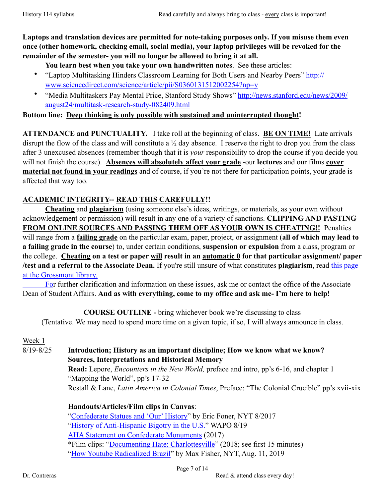**Laptops and translation devices are permitted for note-taking purposes only. If you misuse them even once (other homework, checking email, social media), your laptop privileges will be revoked for the remainder of the semester- you will no longer be allowed to bring it at all.** 

**You learn best when you take your own handwritten notes**. See these articles:

- ["Laptop Multitasking Hinders Classroom Learning for Both Users and Nearby Peers" http://](http://www.sciencedirect.com/science/article/pii/S0360131512002254?np=y) www.sciencedirect.com/science/article/pii/S0360131512002254?np=y
- ["Media Multitaskers Pay Mental Price, Stanford Study Shows" http://news.stanford.edu/news/2009/](http://news.stanford.edu/news/2009/august24/multitask-research-study-082409.html) august24/multitask-research-study-082409.html

**Bottom line: Deep thinking is only possible with sustained and uninterrupted thought!** 

**ATTENDANCE and PUNCTUALITY.** I take roll at the beginning of class. **BE ON TIME**! Late arrivals disrupt the flow of the class and will constitute a ½ day absence. I reserve the right to drop you from the class after 3 unexcused absences (remember though that it is *your* responsibility to drop the course if you decide you will not finish the course). **Absences will absolutely affect your grade** -our **lectures** and our films **cover material not found in your readings** and of course, if you're not there for participation points, your grade is affected that way too.

# **ACADEMIC INTEGRITY-- READ THIS CAREFULLY!!**

**Cheating** and **plagiarism** (using someone else's ideas, writings, or materials, as your own without acknowledgement or permission) will result in any one of a variety of sanctions. **CLIPPING AND PASTING FROM ONLINE SOURCES AND PASSING THEM OFF AS YOUR OWN IS CHEATING!!** Penalties will range from a **failing grade** on the particular exam, paper, project, or assignment (**all of which may lead to a failing grade in the course**) to, under certain conditions, **suspension or expulsion** from a class, program or the college. **Cheating on a test or paper will result in an automatic 0 for that particular assignment/ paper /test and a referral to the Associate Dean.** If you're still unsure of what constitutes **plagiarism**, read this page at the Grossmont library.

[For further clarification and information on these issues, ask me or contact the office of the Associate](http://www.grossmont.edu/student-services/library/libraryinstruction/files/flyers-handouts/qg_avoiding_plagiarism.pdf)  Dean of Student Affairs. **And as with everything, come to my office and ask me- I'm here to help!**

**COURSE OUTLINE -** bring whichever book we're discussing to class (Tentative. We may need to spend more time on a given topic, if so, I will always announce in class.

Week 1

8/19-8/25 **Introduction; History as an important discipline; How we know what we know? Sources, Interpretations and Historical Memory**

 **Read:** Lepore, *Encounters in the New World,* preface and intro, pp's 6-16, and chapter 1 "Mapping the World", pp's 17-32 Restall & Lane, *Latin America in Colonial Times*, Preface: "The Colonial Crucible" pp's xvii-xix

**Handouts/Articles/Film clips in Canvas**:

 ["Confederate Statues and 'Our' History](https://www.nytimes.com/2017/08/20/opinion/confederate-statues-american-history.html?action=click&pgtype=Homepage&clickSource=story-heading&module=opinion-c-col-left-region®ion=opinion-c-col-left-region&WT.nav=opinion-c-col-left-region&_r=0)" by Eric Foner, NYT 8/2017 ["History of Anti-Hispanic Bigotry in the U.S."](https://www.washingtonpost.com/outlook/a-history-of-anti-hispanic-bigotry-in-the-united-states/2019/08/09/5ceaacba-b9f2-11e9-b3b4-2bb69e8c4e39_story.html?wpisrc=nl_headlines&wpmm=1) WAPO 8/19 [AHA Statement on Confederate Monuments](https://www.historians.org/news-and-advocacy/statements-and-resolutions-of-support-and-protest/aha-statement-on-confederate-monuments) (2017) \*Film clips: "[Documenting Hate: Charlottesville"](https://www.pbs.org/wgbh/frontline/film/documenting-hate-charlottesville/#utm_source=Twitter&utm_content=Video) (2018; see first 15 minutes) ["How Youtube Radicalized Brazil](https://www.nytimes.com/2019/08/11/world/americas/youtube-brazil.html#click=https://t.co/0jFXQBPBN8)" by Max Fisher, NYT, Aug. 11, 2019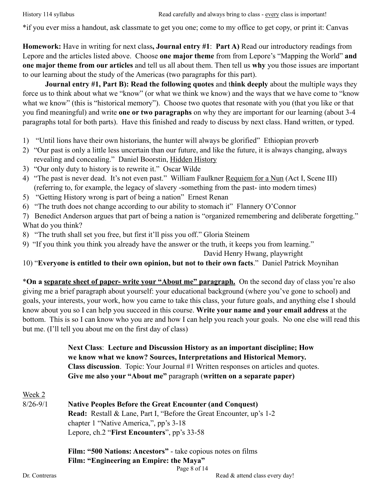\*if you ever miss a handout, ask classmate to get you one; come to my office to get copy, or print it: Canvas

**Homework:** Have in writing for next class**, Journal entry #1**: **Part A)** Read our introductory readings from Lepore and the articles listed above. Choose **one major theme** from from Lepore's "Mapping the World" **and one major theme from our articles** and tell us all about them. Then tell us **why** you those issues are important to our learning about the study of the Americas (two paragraphs for this part).

**Journal entry #1, Part B): Read the following quotes** and t**hink deeply** about the multiple ways they force us to think about what we "know" (or what we think we know) and the ways that we have come to "know what we know" (this is "historical memory"). Choose two quotes that resonate with you (that you like or that you find meaningful) and write **one or two paragraphs** on why they are important for our learning (about 3-4 paragraphs total for both parts). Have this finished and ready to discuss by next class. Hand written, or typed.

- 1) "Until lions have their own historians, the hunter will always be glorified" Ethiopian proverb
- 2) "Our past is only a little less uncertain than our future, and like the future, it is always changing, always revealing and concealing." Daniel Boorstin, Hidden History
- 3) "Our only duty to history is to rewrite it." Oscar Wilde
- 4) "The past is never dead. It's not even past." William Faulkner Requiem for a Nun (Act I, Scene III) (referring to, for example, the legacy of slavery -something from the past- into modern times)
- 5) "Getting History wrong is part of being a nation" Ernest Renan
- 6) "The truth does not change according to our ability to stomach it" Flannery O'Connor
- 7) Benedict Anderson argues that part of being a nation is "organized remembering and deliberate forgetting." What do you think?
- 8) "The truth shall set you free, but first it'll piss you off." Gloria Steinem
- 9) "If you think you think you already have the answer or the truth, it keeps you from learning."

David Henry Hwang, playwright

10) "**Everyone is entitled to their own opinion, but not to their own facts**." Daniel Patrick Moynihan

\***On a separate sheet of paper- write your "About me" paragraph.** On the second day of class you're also giving me a brief paragraph about yourself: your educational background (where you've gone to school) and goals, your interests, your work, how you came to take this class, your future goals, and anything else I should know about you so I can help you succeed in this course. **Write your name and your email address** at the bottom. This is so I can know who you are and how I can help you reach your goals. No one else will read this but me. (I'll tell you about me on the first day of class)

> **Next Class**: **Lecture and Discussion History as an important discipline; How we know what we know? Sources, Interpretations and Historical Memory. Class discussion**. Topic: Your Journal #1 Written responses on articles and quotes. **Give me also your "About me"** paragraph (**written on a separate paper)**

Week 2

8/26-9/1 **Native Peoples Before the Great Encounter (and Conquest) Read:** Restall & Lane, Part I, "Before the Great Encounter, up's 1-2 chapter 1 "Native America,", pp's 3-18 Lepore, ch.2 "**First Encounters**", pp's 33-58

> **Film: "500 Nations: Ancestors"** - take copious notes on films **Film: "Engineering an Empire: the Maya"**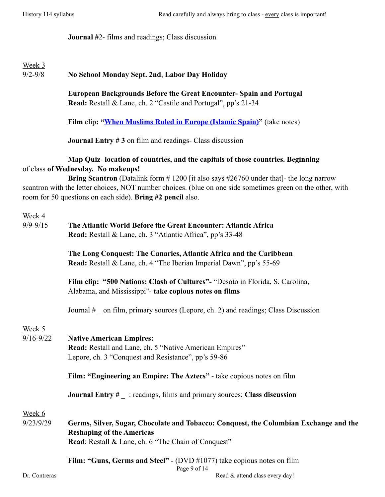**Journal #**2- films and readings; Class discussion

# Week 3

9/2-9/8 **No School Monday Sept. 2nd**, **Labor Day Holiday** 

 **European Backgrounds Before the Great Encounter- Spain and Portugal Read:** Restall & Lane, ch. 2 "Castile and Portugal", pp's 21-34

**Film** clip**: "[When Muslims Ruled in Europe \(Islamic Spain\)](https://www.youtube.com/watch?v=zDJvgrHQ7WY&feature=relmfu)"** (take notes)

**Journal Entry #3** on film and readings- Class discussion

### **Map Quiz**- **location of countries, and the capitals of those countries. Beginning** of class **of Wednesday. No makeups!**

**Bring Scantron** (Datalink form # 1200 [it also says #26760 under that]- the long narrow scantron with the letter choices, NOT number choices. (blue on one side sometimes green on the other, with room for 50 questions on each side). **Bring #2 pencil** also.

| Week 4<br>$9/9 - 9/15$  | The Atlantic World Before the Great Encounter: Atlantic Africa<br>Read: Restall & Lane, ch. 3 "Atlantic Africa", pp's 33-48                                                                                                                                                                                                                                                                |  |
|-------------------------|--------------------------------------------------------------------------------------------------------------------------------------------------------------------------------------------------------------------------------------------------------------------------------------------------------------------------------------------------------------------------------------------|--|
|                         | The Long Conquest: The Canaries, Atlantic Africa and the Caribbean<br>Read: Restall & Lane, ch. 4 "The Iberian Imperial Dawn", pp's 55-69                                                                                                                                                                                                                                                  |  |
|                         | Film clip: "500 Nations: Clash of Cultures"- "Desoto in Florida, S. Carolina,<br>Alabama, and Mississippi"- take copious notes on films                                                                                                                                                                                                                                                    |  |
|                         | Journal # on film, primary sources (Lepore, ch. 2) and readings; Class Discussion                                                                                                                                                                                                                                                                                                          |  |
| Week 5<br>$9/16 - 9/22$ | <b>Native American Empires:</b><br>Read: Restall and Lane, ch. 5 "Native American Empires"<br>Lepore, ch. 3 "Conquest and Resistance", pp's 59-86                                                                                                                                                                                                                                          |  |
|                         | Film: "Engineering an Empire: The Aztecs" - take copious notes on film                                                                                                                                                                                                                                                                                                                     |  |
|                         | <b>Journal Entry <math>#</math></b> : readings, films and primary sources; Class discussion                                                                                                                                                                                                                                                                                                |  |
| Week 6<br>9/23/9/29     | Germs, Silver, Sugar, Chocolate and Tobacco: Conquest, the Columbian Exchange and the<br><b>Reshaping of the Americas</b><br><b>Read:</b> Restall & Lane, ch. 6 "The Chain of Conquest"                                                                                                                                                                                                    |  |
|                         | Film: "Guns, Germs and Steel" - (DVD #1077) take copious notes on film<br>Page 9 of 14<br>$\mathbf{B}$ and $\mathbf{B}$ and $\mathbf{B}$ and $\mathbf{B}$ and $\mathbf{B}$ and $\mathbf{B}$ and $\mathbf{B}$ and $\mathbf{B}$ and $\mathbf{B}$ and $\mathbf{B}$ and $\mathbf{B}$ and $\mathbf{B}$ and $\mathbf{B}$ and $\mathbf{B}$ and $\mathbf{B}$ and $\mathbf{B}$ and $\mathbf{B}$ and |  |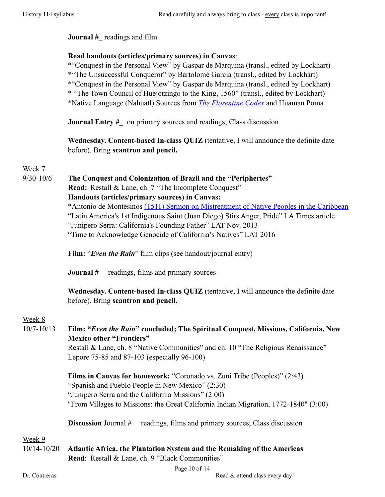#### **Journal** # readings and film

#### **Read handouts (articles/primary sources) in Canvas**:

 \*"Conquest in the Personal View" by Gaspar de Marquina (transl., edited by Lockhart) \*"The Unsuccessful Conqueror" by Bartolomé García (transl., edited by Lockhart) \*"Conquest in the Personal View" by Gaspar de Marquina (transl., edited by Lockhart) \* "The Town Council of Huejotzingo to the King, 1560" (transl., edited by Lockhart) \*Native Language (Nahuatl) Sources from *[The Florentine Codex](https://www.historians.org/teaching-and-learning/teaching-resources/teaching-and-learning-in-the-digital-age/the-history-of-the-americas/the-conquest-of-mexico/florentine-codex)* and Huaman Poma

**Journal Entry #** on primary sources and readings; Class discussion

 **Wednesday. Content-based In-class QUIZ** (tentative, I will announce the definite date before). Bring **scantron and pencil.**

# Week 7

#### 9/30-10/6 **The Conquest and Colonization of Brazil and the "Peripheries"**

**Read:** Restall & Lane, ch. 7 "The Incomplete Conquest" **Handouts (articles/primary sources) in Canvas:**

 \*Antonio de Montesinos [\(1511\) Sermon on Mistreatment of Native Peoples in the Caribbean](http://www.digitalhistory.uh.edu/active_learning/explorations/spain/spain_montesinos.cfm) "Latin America's 1st Indigenous Saint (Juan Diego) Stirs Anger, Pride" LA Times article "Junipero Serra: California's Founding Father" LAT Nov. 2013

"Time to Acknowledge Genocide of California's Natives" LAT 2016

Film: "*Even the Rain*" film clips (see handout/journal entry)

**Journal** # *readings, films and primary sources* 

 **Wednesday. Content-based In-class QUIZ** (tentative, I will announce the definite date before). Bring **scantron and pencil.**

# Week 8

10/7-10/13 **Film: "***Even the Rain***" concluded; The Spiritual Conquest, Missions, California, New Mexico other "Frontiers"**

Restall & Lane, ch. 8 "Native Communities" and ch. 10 "The Religious Renaissance" Lepore 75-85 and 87-103 (especially 96-100)

 **Films in Canvas for homework:** "Coronado vs. Zuni Tribe (Peoples)" (2:43) "Spanish and Pueblo People in New Mexico" (2:30) "Junipero Serra and the California Missions" (2:00) "From Villages to Missions: the Great California Indian Migration, 1772-1840" (3:00)

**Discussion** Journal # \_ readings, films and primary sources; Class discussion

#### Week 9

10/14-10/20 **Atlantic Africa, the Plantation System and the Remaking of the Americas Read**: Restall & Lane, ch. 9 "Black Communities"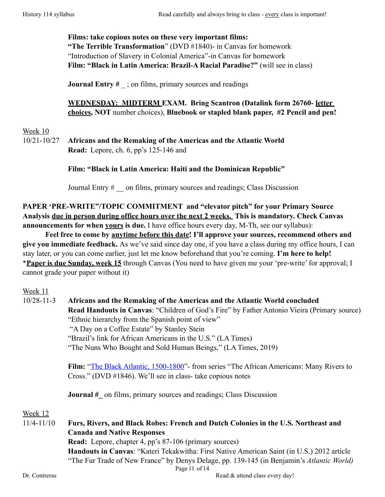**Films: take copious notes on these very important films: "The Terrible Transformation**" (DVD #1840)- in Canvas for homework "Introduction of Slavery in Colonial America"-in Canvas for homework  **Film: "Black in Latin America: Brazil-A Racial Paradise?"** (will see in class)

**Journal Entry #** ; on films, primary sources and readings

 **WEDNESDAY: MIDTERM EXAM. Bring Scantron (Datalink form 26760- letter choices, NOT** number choices), **Bluebook or stapled blank paper, #2 Pencil and pen!**

Week 10

10/21-10/27 **Africans and the Remaking of the Americas and the Atlantic World Read:** Lepore, ch. 6, pp's 125-146 and

#### **Film: "Black in Latin America: Haiti and the Dominican Republic"**

Journal Entry # \_\_ on films, primary sources and readings; Class Discussion

**PAPER 'PRE-WRITE"/TOPIC COMMITMENT and "elevator pitch" for your Primary Source Analysis due in person during office hours over the next 2 weeks. This is mandatory. Check Canvas announcements for when yours is due.** I have office hours every day, M-Th, see our syllabus):

**Feel free to come by anytime before this date! I'll approve your sources, recommend others and give you immediate feedback.** As we've said since day one, if you have a class during my office hours, I can stay later, or you can come earlier, just let me know beforehand that you're coming. **I'm here to help!** \***Paper is due Sunday, week 15** through Canvas (You need to have given me your 'pre-write' for approval; I cannot grade your paper without it)

Week 11

10/28-11-3 **Africans and the Remaking of the Americas and the Atlantic World concluded Read Handouts in Canvas**: "Children of God's Fire" by Father Antonio Vieira (Primary source) "Ethnic hierarchy from the Spanish point of view" "A Day on a Coffee Estate" by Stanley Stein "Brazil's link for African Americans in the U.S." (LA Times) "The Nuns Who Bought and Sold Human Beings," (LA Times, 2019) **Film:** ["The Black Atlantic, 1500-1800"](http://www.pbs.org/wnet/african-americans-many-rivers-to-cross/video/)- from series "The African Americans: Many Rivers to Cross." (DVD #1846). We'll see in class- take copious notes **Journal #** on films, primary sources and readings; Class Discussion Week 12 11/4-11/10 **Furs, Rivers, and Black Robes: French and Dutch Colonies in the U.S. Northeast and Canada and Native Responses Read:** Lepore, chapter 4, pp's 87-106 (primary sources) **Handouts in Canvas**: "Kateri Tekakwitha: First Native American Saint (in U.S.) 2012 article "The Fur Trade of New France" by Denys Delage, pp. 139-145 (in Benjamin's *Atlantic World)* Page 11 of 14 Dr. Contreras Read & attend class every day!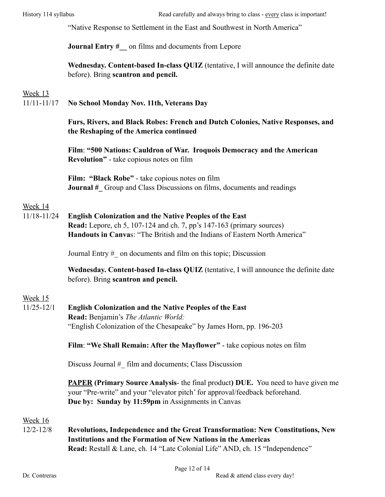"Native Response to Settlement in the East and Southwest in North America"

#### **Journal Entry #** on films and documents from Lepore

|                                            | Wednesday. Content-based In-class QUIZ (tentative, I will announce the definite date |
|--------------------------------------------|--------------------------------------------------------------------------------------|
| before). Bring <b>scantron and pencil.</b> |                                                                                      |

#### Week 13

11/11-11/17 **No School Monday Nov. 11th, Veterans Day**

#### **Furs, Rivers, and Black Robes: French and Dutch Colonies, Native Responses, and the Reshaping of the America continued**

 **Film**: **"500 Nations: Cauldron of War. Iroquois Democracy and the American Revolution"** - take copious notes on film

 **Film: "Black Robe"** - take copious notes on film **Journal #** Group and Class Discussions on films, documents and readings

#### Week 14

11/18-11/24 **English Colonization and the Native Peoples of the East Read:** Lepore, ch 5, 107-124 and ch. 7, pp's 147-163 (primary sources) **Handouts in Canva**s: "The British and the Indians of Eastern North America"

Journal Entry #\_ on documents and film on this topic; Discussion

 **Wednesday. Content-based In-class QUIZ** (tentative, I will announce the definite date before). Bring **scantron and pencil.**

# Week 15

#### 11/25-12/1 **English Colonization and the Native Peoples of the East Read:** Benjamin's *The Atlantic World:* "English Colonization of the Chesapeake" by James Horn, pp. 196-203

**Film**: **"We Shall Remain: After the Mayflower"** - take copious notes on film

Discuss Journal # film and documents; Class Discussion

**PAPER (Primary Source Analysis**- the final product**) DUE.** You need to have given me your "Pre-write" and your "elevator pitch' for approval/feedback beforehand.  **Due by: Sunday by 11:59pm** in Assignments in Canvas

#### Week 16

12/2-12/8 **Revolutions, Independence and the Great Transformation: New Constitutions, New Institutions and the Formation of New Nations in the Americas Read:** Restall & Lane, ch. 14 "Late Colonial Life" AND, ch. 15 "Independence"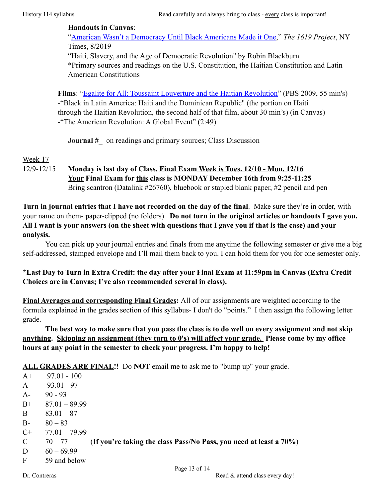#### **Handouts in Canvas**:

 ["American Wasn't a Democracy Until Black Americans Made it One](https://www.nytimes.com/interactive/2019/08/14/magazine/black-history-american-democracy.html)," *The 1619 Project*, NY Times, 8/2019 "Haiti, Slavery, and the Age of Democratic Revolution" by Robin Blackburn

 \*Primary sources and readings on the U.S. Constitution, the Haitian Constitution and Latin American Constitutions

 **Films**: ["Egalite for All: Toussaint Louverture and the Haitian Revolution"](http://topdocumentaryfilms.com/haitian-revolution-toussaint-louverture/) (PBS 2009, 55 min's) -"Black in Latin America: Haiti and the Dominican Republic" (the portion on Haiti through the Haitian Revolution, the second half of that film, about 30 min's) (in Canvas) -"The American Revolution: A Global Event" (2:49)

**Journal #** on readings and primary sources; Class Discussion

# Week 17

12/9-12/15 **Monday is last day of Class. Final Exam Week is Tues. 12/10 - Mon. 12/16 Your Final Exam for this class is MONDAY December 16th from 9:25-11:25**  Bring scantron (Datalink #26760), bluebook or stapled blank paper, #2 pencil and pen

**Turn in journal entries that I have not recorded on the day of the final**. Make sure they're in order, with your name on them- paper-clipped (no folders). **Do not turn in the original articles or handouts I gave you. All I want is your answers (on the sheet with questions that I gave you if that is the case) and your analysis.** 

 You can pick up your journal entries and finals from me anytime the following semester or give me a big self-addressed, stamped envelope and I'll mail them back to you. I can hold them for you for one semester only.

# **\*Last Day to Turn in Extra Credit: the day after your Final Exam at 11:59pm in Canvas (Extra Credit Choices are in Canvas; I've also recommended several in class).**

**Final Averages and corresponding Final Grades:** All of our assignments are weighted according to the formula explained in the grades section of this syllabus- I don't do "points." I then assign the following letter grade.

 **The best way to make sure that you pass the class is to do well on every assignment and not skip anything. Skipping an assignment (they turn to 0's) will affect your grade. Please come by my office hours at any point in the semester to check your progress. I'm happy to help!**

**ALL GRADES ARE FINAL!!** Do **NOT** email me to ask me to "bump up" your grade.

 $A+$  97.01 - 100 A 93.01 - 97  $A - 90 - 93$  $B+$  87.01 – 89.99 B  $83.01 - 87$ B-  $80 - 83$  $C+ 77.01 - 79.99$ C 70 – 77 (**If you're taking the class Pass/No Pass, you need at least a 70%**) D  $60 - 69.99$ F 59 and below